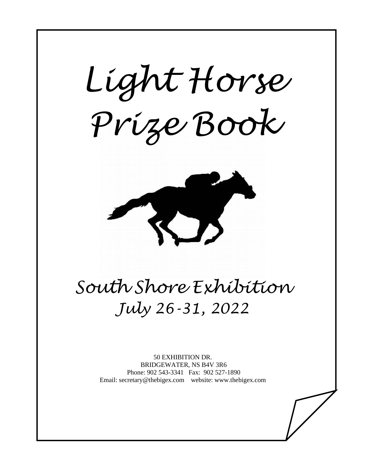*Light Horse Prize Book* 

 $\overline{a}$ 



# *South Shore Exhibition July 26-31, 2022*

50 EXHIBITION DR. BRIDGEWATER, NS B4V 3R6 Phone: 902 543-3341 Fax: 902 527-1890 Email: secretary@thebigex.com website: www.thebigex.com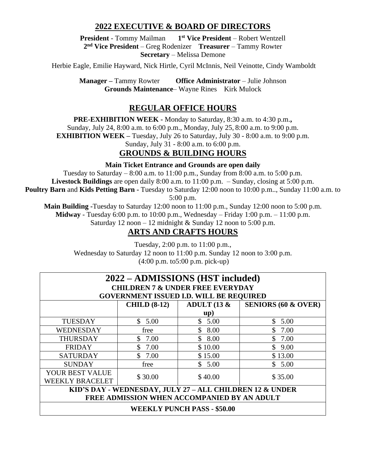# **2022 EXECUTIVE & BOARD OF DIRECTORS**

**President** - Tommy Mailman **1 st Vice President** – Robert Wentzell **2 nd Vice President** – Greg Rodenizer **Treasurer** – Tammy Rowter **Secretary** – Melissa Demone

Herbie Eagle, Emilie Hayward, Nick Hirtle, Cyril McInnis, Neil Veinotte, Cindy Wamboldt

**Manager –** Tammy Rowter **Office Administrator** – Julie Johnson **Grounds Maintenance**– Wayne Rines Kirk Mulock

# **REGULAR OFFICE HOURS**

**PRE-EXHIBITION WEEK -** Monday to Saturday, 8:30 a.m. to 4:30 p.m.**,** Sunday, July 24, 8:00 a.m. to 6:00 p.m., Monday, July 25, 8:00 a.m. to 9:00 p.m.

**EXHIBITION WEEK** – Tuesday, July 26 to Saturday, July 30 - 8:00 a.m. to 9:00 p.m.

Sunday, July 31 - 8:00 a.m. to 6:00 p.m.

# **GROUNDS & BUILDING HOURS**

# **Main Ticket Entrance and Grounds are open daily**

Tuesday to Saturday  $-8:00$  a.m. to 11:00 p.m., Sunday from  $8:00$  a.m. to  $5:00$  p.m. **Livestock Buildings** are open daily 8:00 a.m. to 11:00 p.m. – Sunday, closing at 5:00 p.m. **Poultry Barn** and **Kids Petting Barn -** Tuesday to Saturday 12:00 noon to 10:00 p.m.., Sunday 11:00 a.m. to

5:00 p.m.

**Main Building -**Tuesday to Saturday 12:00 noon to 11:00 p.m., Sunday 12:00 noon to 5:00 p.m. **Midway** - Tuesday 6:00 p.m. to 10:00 p.m., Wednesday – Friday 1:00 p.m. – 11:00 p.m.

Saturday 12 noon – 12 midnight & Sunday 12 noon to 5:00 p.m.

# **ARTS AND CRAFTS HOURS**

Tuesday, 2:00 p.m. to 11:00 p.m., Wednesday to Saturday 12 noon to 11:00 p.m. Sunday 12 noon to 3:00 p.m. (4:00 p.m. to5:00 p.m. pick-up)

| 2022 – ADMISSIONS (HST included)                         |                     |                          |                                |
|----------------------------------------------------------|---------------------|--------------------------|--------------------------------|
| <b>CHILDREN 7 &amp; UNDER FREE EVERYDAY</b>              |                     |                          |                                |
| <b>GOVERNMENT ISSUED I.D. WILL BE REQUIRED</b>           |                     |                          |                                |
|                                                          | <b>CHILD (8-12)</b> | ADULT (13 $\&$           | <b>SENIORS (60 &amp; OVER)</b> |
|                                                          |                     | $\mathbf{u}(\mathbf{p})$ |                                |
| <b>TUESDAY</b>                                           | \$5.00              | \$5.00                   | \$5.00                         |
| <b>WEDNESDAY</b>                                         | free                | \$8.00                   | \$7.00                         |
| <b>THURSDAY</b>                                          | \$7.00              | \$8.00                   | \$7.00                         |
| <b>FRIDAY</b>                                            | \$7.00              | \$10.00                  | \$9.00                         |
| <b>SATURDAY</b>                                          | \$7.00              | \$15.00                  | \$13.00                        |
| <b>SUNDAY</b>                                            | free                | \$5.00                   | \$5.00                         |
| YOUR BEST VALUE                                          | \$30.00             | \$40.00                  | \$35.00                        |
| <b>WEEKLY BRACELET</b>                                   |                     |                          |                                |
| KID'S DAY - WEDNESDAY, JULY 27 - ALL CHILDREN 12 & UNDER |                     |                          |                                |
| FREE ADMISSION WHEN ACCOMPANIED BY AN ADULT              |                     |                          |                                |
| <b>WEEKLY PUNCH PASS - \$50.00</b>                       |                     |                          |                                |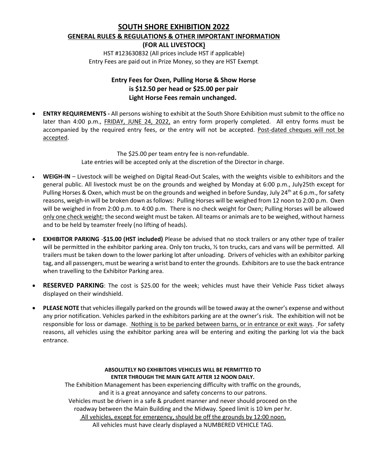# **SOUTH SHORE EXHIBITION 2022 GENERAL RULES & REGULATIONS & OTHER IMPORTANT INFORMATION**

**(FOR ALL LIVESTOCK)**

HST #123630832 (All prices include HST if applicable) Entry Fees are paid out in Prize Money, so they are HST Exempt.

# **Entry Fees for Oxen, Pulling Horse & Show Horse is \$12.50 per head or \$25.00 per pair Light Horse Fees remain unchanged.**

• **ENTRY REQUIREMENTS -** All persons wishing to exhibit at the South Shore Exhibition must submit to the office no later than 4:00 p.m., FRIDAY, JUNE 24, 2022, an entry form properly completed. All entry forms must be accompanied by the required entry fees, or the entry will not be accepted. Post-dated cheques will not be accepted.

> The \$25.00 per team entry fee is non-refundable. Late entries will be accepted only at the discretion of the Director in charge.

- **WEIGH-IN** Livestock will be weighed on Digital Read-Out Scales, with the weights visible to exhibitors and the general public. All livestock must be on the grounds and weighed by Monday at 6:00 p.m., July25th except for Pulling Horses & Oxen, which must be on the grounds and weighed in before Sunday, July 24<sup>th</sup> at 6 p.m., for safety reasons, weigh-in will be broken down as follows: Pulling Horses will be weighed from 12 noon to 2:00 p.m. Oxen will be weighed in from 2:00 p.m. to 4:00 p.m. There is no check weight for Oxen; Pulling Horses will be allowed only one check weight; the second weight must be taken. All teams or animals are to be weighed, without harness and to be held by teamster freely (no lifting of heads).
- **EXHIBITOR PARKING** -**\$15.00 (HST included)** Please be advised that no stock trailers or any other type of trailer will be permitted in the exhibitor parking area. Only ton trucks, % ton trucks, cars and vans will be permitted. All trailers must be taken down to the lower parking lot after unloading. Drivers of vehicles with an exhibitor parking tag, and all passengers, must be wearing a wrist band to enter the grounds. Exhibitors are to use the back entrance when travelling to the Exhibitor Parking area.
- **RESERVED PARKING**: The cost is \$25.00 for the week; vehicles must have their Vehicle Pass ticket always displayed on their windshield.
- **PLEASE NOTE** that vehicles illegally parked on the grounds will be towed away at the owner's expense and without any prior notification. Vehicles parked in the exhibitors parking are at the owner's risk. The exhibition will not be responsible for loss or damage. Nothing is to be parked between barns, or in entrance or exit ways. For safety reasons, all vehicles using the exhibitor parking area will be entering and exiting the parking lot via the back entrance.

#### **ABSOLUTELY NO EXHIBITORS VEHICLES WILL BE PERMITTED TO ENTER THROUGH THE MAIN GATE AFTER 12 NOON DAILY.**

The Exhibition Management has been experiencing difficulty with traffic on the grounds, and it is a great annoyance and safety concerns to our patrons. Vehicles must be driven in a safe & prudent manner and never should proceed on the roadway between the Main Building and the Midway. Speed limit is 10 km per hr. All vehicles, except for emergency, should be off the grounds by 12:00 noon. All vehicles must have clearly displayed a NUMBERED VEHICLE TAG.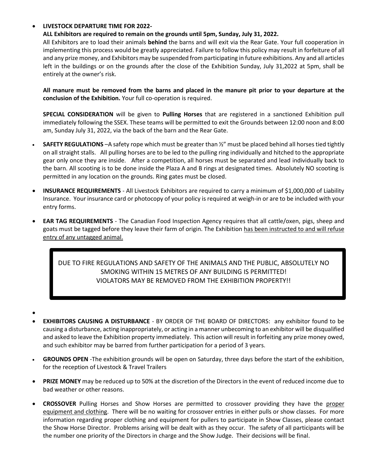#### • **LIVESTOCK DEPARTURE TIME FOR 2022-**

#### **ALL Exhibitors are required to remain on the grounds until 5pm, Sunday, July 31, 2022.**

All Exhibitors are to load their animals **behind** the barns and will exit via the Rear Gate. Your full cooperation in implementing this process would be greatly appreciated. Failure to follow this policy may result in forfeiture of all and any prize money, and Exhibitors may be suspended from participating in future exhibitions. Any and all articles left in the buildings or on the grounds after the close of the Exhibition Sunday, July 31,2022 at 5pm, shall be entirely at the owner's risk.

**All manure must be removed from the barns and placed in the manure pit prior to your departure at the conclusion of the Exhibition.** Your full co-operation is required.

**SPECIAL CONSIDERATION** will be given to **Pulling Horses** that are registered in a sanctioned Exhibition pull immediately following the SSEX. These teams will be permitted to exit the Grounds between 12:00 noon and 8:00 am, Sunday July 31, 2022, via the back of the barn and the Rear Gate.

- **SAFETY REGULATIONS** –A safety rope which must be greater than ½" must be placed behind all horses tied tightly on all straight stalls. All pulling horses are to be led to the pulling ring individually and hitched to the appropriate gear only once they are inside. After a competition, all horses must be separated and lead individually back to the barn. All scooting is to be done inside the Plaza A and B rings at designated times. Absolutely NO scooting is permitted in any location on the grounds. Ring gates must be closed.
- **INSURANCE REQUIREMENTS** All Livestock Exhibitors are required to carry a minimum of \$1,000,000 of Liability Insurance. Your insurance card or photocopy of your policy is required at weigh-in or are to be included with your entry forms.
- **EAR TAG REQUIREMENTS** The Canadian Food Inspection Agency requires that all cattle/oxen, pigs, sheep and goats must be tagged before they leave their farm of origin. The Exhibition has been instructed to and will refuse entry of any untagged animal.

DUE TO FIRE REGULATIONS AND SAFETY OF THE ANIMALS AND THE PUBLIC, ABSOLUTELY NO SMOKING WITHIN 15 METRES OF ANY BUILDING IS PERMITTED! VIOLATORS MAY BE REMOVED FROM THE EXHIBITION PROPERTY!!

- •
- **EXHIBITORS CAUSING A DISTURBANCE**  BY ORDER OF THE BOARD OF DIRECTORS: any exhibitor found to be causing a disturbance, acting inappropriately, or acting in a manner unbecoming to an exhibitor will be disqualified and asked to leave the Exhibition property immediately. This action will result in forfeiting any prize money owed, and such exhibitor may be barred from further participation for a period of 3 years.
- **GROUNDS OPEN** -The exhibition grounds will be open on Saturday, three days before the start of the exhibition, for the reception of Livestock & Travel Trailers
- **PRIZE MONEY** may be reduced up to 50% at the discretion of the Directors in the event of reduced income due to bad weather or other reasons.
- **CROSSOVER** Pulling Horses and Show Horses are permitted to crossover providing they have the proper equipment and clothing. There will be no waiting for crossover entries in either pulls or show classes. For more information regarding proper clothing and equipment for pullers to participate in Show Classes, please contact the Show Horse Director. Problems arising will be dealt with as they occur. The safety of all participants will be the number one priority of the Directors in charge and the Show Judge. Their decisions will be final.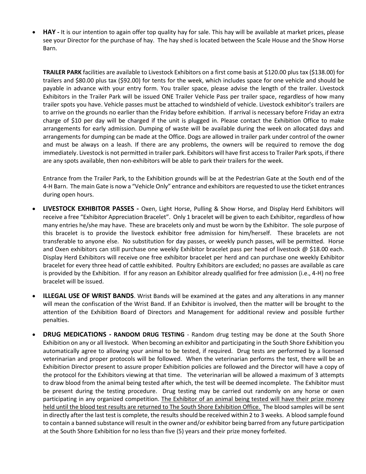• **HAY -** It is our intention to again offer top quality hay for sale. This hay will be available at market prices, please see your Director for the purchase of hay. The hay shed is located between the Scale House and the Show Horse Barn.

**TRAILER PARK** facilities are available to Livestock Exhibitors on a first come basis at \$120.00 plus tax (\$138.00) for trailers and \$80.00 plus tax (\$92.00) for tents for the week, which includes space for one vehicle and should be payable in advance with your entry form. You trailer space, please advise the length of the trailer. Livestock Exhibitors in the Trailer Park will be issued ONE Trailer Vehicle Pass per trailer space, regardless of how many trailer spots you have. Vehicle passes must be attached to windshield of vehicle. Livestock exhibitor's trailers are to arrive on the grounds no earlier than the Friday before exhibition. If arrival is necessary before Friday an extra charge of \$10 per day will be charged if the unit is plugged in. Please contact the Exhibition Office to make arrangements for early admission. Dumping of waste will be available during the week on allocated days and arrangements for dumping can be made at the Office. Dogs are allowed in trailer park under control of the owner and must be always on a leash. If there are any problems, the owners will be required to remove the dog immediately. Livestock is not permitted in trailer park. Exhibitors will have first access to Trailer Park spots, if there are any spots available, then non-exhibitors will be able to park their trailers for the week.

Entrance from the Trailer Park, to the Exhibition grounds will be at the Pedestrian Gate at the South end of the 4-H Barn. The main Gate is now a "Vehicle Only" entrance and exhibitors are requested to use the ticket entrances during open hours.

- **LIVESTOCK EXHIBITOR PASSES -** Oxen, Light Horse, Pulling & Show Horse, and Display Herd Exhibitors will receive a free "Exhibitor Appreciation Bracelet". Only 1 bracelet will be given to each Exhibitor, regardless of how many entries he/she may have. These are bracelets only and must be worn by the Exhibitor. The sole purpose of this bracelet is to provide the livestock exhibitor free admission for him/herself. These bracelets are not transferable to anyone else. No substitution for day passes, or weekly punch passes, will be permitted. Horse and Oxen exhibitors can still purchase one weekly Exhibitor bracelet pass per head of livestock @ \$18.00 each. Display Herd Exhibitors will receive one free exhibitor bracelet per herd and can purchase one weekly Exhibitor bracelet for every three head of cattle exhibited. Poultry Exhibitors are excluded; no passes are available as care is provided by the Exhibition. If for any reason an Exhibitor already qualified for free admission (i.e., 4-H) no free bracelet will be issued.
- **ILLEGAL USE OF WRIST BANDS**. Wrist Bands will be examined at the gates and any alterations in any manner will mean the confiscation of the Wrist Band. If an Exhibitor is involved, then the matter will be brought to the attention of the Exhibition Board of Directors and Management for additional review and possible further penalties.
- **DRUG MEDICATIONS - RANDOM DRUG TESTING** Random drug testing may be done at the South Shore Exhibition on any or all livestock. When becoming an exhibitor and participating in the South Shore Exhibition you automatically agree to allowing your animal to be tested, if required. Drug tests are performed by a licensed veterinarian and proper protocols will be followed. When the veterinarian performs the test, there will be an Exhibition Director present to assure proper Exhibition policies are followed and the Director will have a copy of the protocol for the Exhibitors viewing at that time. The veterinarian will be allowed a maximum of 3 attempts to draw blood from the animal being tested after which, the test will be deemed incomplete. The Exhibitor must be present during the testing procedure. Drug testing may be carried out randomly on any horse or oxen participating in any organized competition. The Exhibitor of an animal being tested will have their prize money held until the blood test results are returned to The South Shore Exhibition Office. The blood samples will be sent in directly after the last test is complete, the results should be received within 2 to 3 weeks. A blood sample found to contain a banned substance will result in the owner and/or exhibitor being barred from any future participation at the South Shore Exhibition for no less than five (5) years and their prize money forfeited.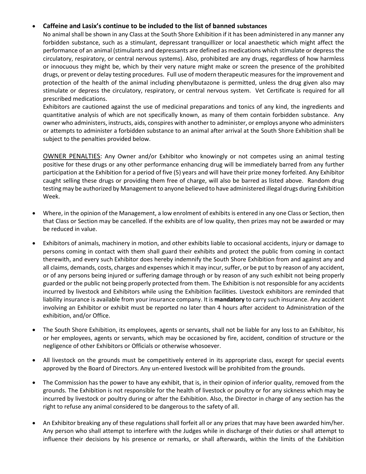## • **Caffeine and Lasix's continue to be included to the list of banned substances**

No animal shall be shown in any Class at the South Shore Exhibition if it has been administered in any manner any forbidden substance, such as a stimulant, depressant tranquillizer or local anaesthetic which might affect the performance of an animal (stimulants and depressants are defined as medications which stimulate or depress the circulatory, respiratory, or central nervous systems). Also, prohibited are any drugs, regardless of how harmless or innocuous they might be, which by their very nature might make or screen the presence of the prohibited drugs, or prevent or delay testing procedures. Full use of modern therapeutic measures for the improvement and protection of the health of the animal including phenylbutazone is permitted, unless the drug given also may stimulate or depress the circulatory, respiratory, or central nervous system. Vet Certificate is required for all prescribed medications.

Exhibitors are cautioned against the use of medicinal preparations and tonics of any kind, the ingredients and quantitative analysis of which are not specifically known, as many of them contain forbidden substance. Any owner who administers, instructs, aids, conspires with another to administer, or employs anyone who administers or attempts to administer a forbidden substance to an animal after arrival at the South Shore Exhibition shall be subject to the penalties provided below.

OWNER PENALTIES: Any Owner and/or Exhibitor who knowingly or not competes using an animal testing positive for these drugs or any other performance enhancing drug will be immediately barred from any further participation at the Exhibition for a period of five (5) years and will have their prize money forfeited. Any Exhibitor caught selling these drugs or providing them free of charge, will also be barred as listed above. Random drug testing may be authorized by Management to anyone believed to have administered illegal drugs during Exhibition Week.

- Where, in the opinion of the Management, a low enrolment of exhibits is entered in any one Class or Section, then that Class or Section may be cancelled. If the exhibits are of low quality, then prizes may not be awarded or may be reduced in value.
- Exhibitors of animals, machinery in motion, and other exhibits liable to occasional accidents, injury or damage to persons coming in contact with them shall guard their exhibits and protect the public from coming in contact therewith, and every such Exhibitor does hereby indemnify the South Shore Exhibition from and against any and all claims, demands, costs, charges and expenses which it may incur, suffer, or be put to by reason of any accident, or of any persons being injured or suffering damage through or by reason of any such exhibit not being properly guarded or the public not being properly protected from them. The Exhibition is not responsible for any accidents incurred by livestock and Exhibitors while using the Exhibition facilities. Livestock exhibitors are reminded that liability insurance is available from your insurance company. It is **mandatory** to carry such insurance. Any accident involving an Exhibitor or exhibit must be reported no later than 4 hours after accident to Administration of the exhibition, and/or Office.
- The South Shore Exhibition, its employees, agents or servants, shall not be liable for any loss to an Exhibitor, his or her employees, agents or servants, which may be occasioned by fire, accident, condition of structure or the negligence of other Exhibitors or Officials or otherwise whosoever.
- All livestock on the grounds must be competitively entered in its appropriate class, except for special events approved by the Board of Directors. Any un-entered livestock will be prohibited from the grounds.
- The Commission has the power to have any exhibit, that is, in their opinion of inferior quality, removed from the grounds. The Exhibition is not responsible for the health of livestock or poultry or for any sickness which may be incurred by livestock or poultry during or after the Exhibition. Also, the Director in charge of any section has the right to refuse any animal considered to be dangerous to the safety of all.
- An Exhibitor breaking any of these regulations shall forfeit all or any prizes that may have been awarded him/her. Any person who shall attempt to interfere with the Judges while in discharge of their duties or shall attempt to influence their decisions by his presence or remarks, or shall afterwards, within the limits of the Exhibition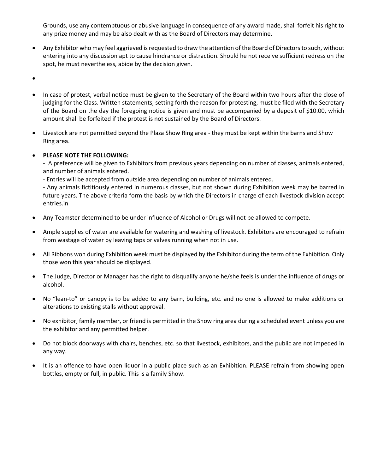Grounds, use any contemptuous or abusive language in consequence of any award made, shall forfeit his right to any prize money and may be also dealt with as the Board of Directors may determine.

- Any Exhibitor who may feel aggrieved is requested to draw the attention of the Board of Directors to such, without entering into any discussion apt to cause hindrance or distraction. Should he not receive sufficient redress on the spot, he must nevertheless, abide by the decision given.
- •
- In case of protest, verbal notice must be given to the Secretary of the Board within two hours after the close of judging for the Class. Written statements, setting forth the reason for protesting, must be filed with the Secretary of the Board on the day the foregoing notice is given and must be accompanied by a deposit of \$10.00, which amount shall be forfeited if the protest is not sustained by the Board of Directors.
- Livestock are not permitted beyond the Plaza Show Ring area they must be kept within the barns and Show Ring area.

## • **PLEASE NOTE THE FOLLOWING:**

- A preference will be given to Exhibitors from previous years depending on number of classes, animals entered, and number of animals entered.

- Entries will be accepted from outside area depending on number of animals entered.

- Any animals fictitiously entered in numerous classes, but not shown during Exhibition week may be barred in future years. The above criteria form the basis by which the Directors in charge of each livestock division accept entries.in

- Any Teamster determined to be under influence of Alcohol or Drugs will not be allowed to compete.
- Ample supplies of water are available for watering and washing of livestock. Exhibitors are encouraged to refrain from wastage of water by leaving taps or valves running when not in use.
- All Ribbons won during Exhibition week must be displayed by the Exhibitor during the term of the Exhibition. Only those won this year should be displayed.
- The Judge, Director or Manager has the right to disqualify anyone he/she feels is under the influence of drugs or alcohol.
- No "lean-to" or canopy is to be added to any barn, building, etc. and no one is allowed to make additions or alterations to existing stalls without approval.
- No exhibitor, family member, or friend is permitted in the Show ring area during a scheduled event unless you are the exhibitor and any permitted helper.
- Do not block doorways with chairs, benches, etc. so that livestock, exhibitors, and the public are not impeded in any way.
- It is an offence to have open liquor in a public place such as an Exhibition. PLEASE refrain from showing open bottles, empty or full, in public. This is a family Show.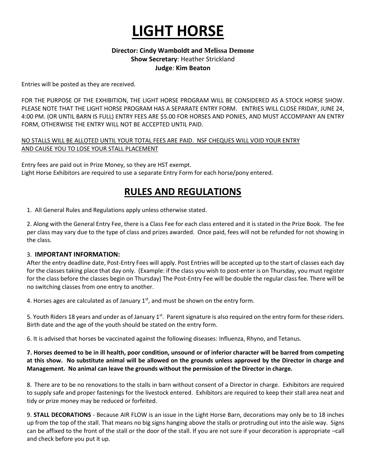# **LIGHT HORSE**

## **Director: Cindy Wamboldt and Melissa Demone Show Secretary**: Heather Strickland **Judge**: **Kim Beaton**

Entries will be posted as they are received.

FOR THE PURPOSE OF THE EXHIBITION, THE LIGHT HORSE PROGRAM WILL BE CONSIDERED AS A STOCK HORSE SHOW. PLEASE NOTE THAT THE LIGHT HORSE PROGRAM HAS A SEPARATE ENTRY FORM. ENTRIES WILL CLOSE FRIDAY, JUNE 24, 4:00 PM. (OR UNTIL BARN IS FULL) ENTRY FEES ARE \$5.00 FOR HORSES AND PONIES, AND MUST ACCOMPANY AN ENTRY FORM, OTHERWISE THE ENTRY WILL NOT BE ACCEPTED UNTIL PAID.

#### NO STALLS WILL BE ALLOTED UNTIL YOUR TOTAL FEES ARE PAID. NSF CHEQUES WILL VOID YOUR ENTRY AND CAUSE YOU TO LOSE YOUR STALL PLACEMENT

Entry fees are paid out in Prize Money, so they are HST exempt. Light Horse Exhibitors are required to use a separate Entry Form for each horse/pony entered.

# **RULES AND REGULATIONS**

1. All General Rules and Regulations apply unless otherwise stated.

2. Along with the General Entry Fee, there is a Class Fee for each class entered and it is stated in the Prize Book. The fee per class may vary due to the type of class and prizes awarded. Once paid, fees will not be refunded for not showing in the class.

## 3. **IMPORTANT INFORMATION:**

After the entry deadline date, Post-Entry Fees will apply. Post Entries will be accepted up to the start of classes each day for the classes taking place that day only. (Example: if the class you wish to post-enter is on Thursday, you must register for the class before the classes begin on Thursday) The Post-Entry Fee will be double the regular class fee. There will be no switching classes from one entry to another.

4. Horses ages are calculated as of January  $1<sup>st</sup>$ , and must be shown on the entry form.

5. Youth Riders 18 years and under as of January  $1<sup>st</sup>$ . Parent signature is also required on the entry form for these riders. Birth date and the age of the youth should be stated on the entry form.

6. It is advised that horses be vaccinated against the following diseases: Influenza, Rhyno, and Tetanus.

## **7. Horses deemed to be in ill health, poor condition, unsound or of inferior character will be barred from competing at this show. No substitute animal will be allowed on the grounds unless approved by the Director in charge and Management. No animal can leave the grounds without the permission of the Director in charge.**

8. There are to be no renovations to the stalls in barn without consent of a Director in charge. Exhibitors are required to supply safe and proper fastenings for the livestock entered. Exhibitors are required to keep their stall area neat and tidy or prize money may be reduced or forfeited.

9. **STALL DECORATIONS** - Because AIR FLOW is an issue in the Light Horse Barn, decorations may only be to 18 inches up from the top of the stall. That means no big signs hanging above the stalls or protruding out into the aisle way. Signs can be affixed to the front of the stall or the door of the stall. If you are not sure if your decoration is appropriate –call and check before you put it up.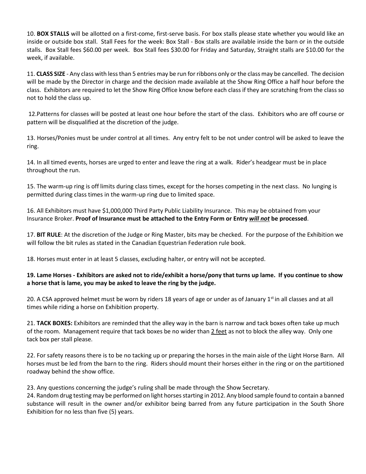10. **BOX STALLS** will be allotted on a first-come, first-serve basis. For box stalls please state whether you would like an inside or outside box stall. Stall Fees for the week: Box Stall - Box stalls are available inside the barn or in the outside stalls. Box Stall fees \$60.00 per week. Box Stall fees \$30.00 for Friday and Saturday, Straight stalls are \$10.00 for the week, if available.

11. **CLASS SIZE** - Any class with less than 5 entries may be run for ribbons only or the class may be cancelled. The decision will be made by the Director in charge and the decision made available at the Show Ring Office a half hour before the class. Exhibitors are required to let the Show Ring Office know before each class if they are scratching from the class so not to hold the class up.

12.Patterns for classes will be posted at least one hour before the start of the class. Exhibitors who are off course or pattern will be disqualified at the discretion of the judge.

13. Horses/Ponies must be under control at all times. Any entry felt to be not under control will be asked to leave the ring.

14. In all timed events, horses are urged to enter and leave the ring at a walk. Rider's headgear must be in place throughout the run.

15. The warm-up ring is off limits during class times, except for the horses competing in the next class. No lunging is permitted during class times in the warm-up ring due to limited space.

16. All Exhibitors must have \$1,000,000 Third Party Public Liability Insurance. This may be obtained from your Insurance Broker. **Proof of Insurance must be attached to the Entry Form or Entry** *will not* **be processed**.

17. **BIT RULE**: At the discretion of the Judge or Ring Master, bits may be checked. For the purpose of the Exhibition we will follow the bit rules as stated in the Canadian Equestrian Federation rule book.

18. Horses must enter in at least 5 classes, excluding halter, or entry will not be accepted.

## **19. Lame Horses - Exhibitors are asked not to ride/exhibit a horse/pony that turns up lame. If you continue to show a horse that is lame, you may be asked to leave the ring by the judge.**

20. A CSA approved helmet must be worn by riders 18 years of age or under as of January  $1^{st}$  in all classes and at all times while riding a horse on Exhibition property.

21. **TACK BOXES:** Exhibitors are reminded that the alley way in the barn is narrow and tack boxes often take up much of the room. Management require that tack boxes be no wider than 2 feet as not to block the alley way. Only one tack box per stall please.

22. For safety reasons there is to be no tacking up or preparing the horses in the main aisle of the Light Horse Barn. All horses must be led from the barn to the ring. Riders should mount their horses either in the ring or on the partitioned roadway behind the show office.

23. Any questions concerning the judge's ruling shall be made through the Show Secretary.

24. Random drug testing may be performed on light horses starting in 2012. Any blood sample found to contain a banned substance will result in the owner and/or exhibitor being barred from any future participation in the South Shore Exhibition for no less than five (5) years.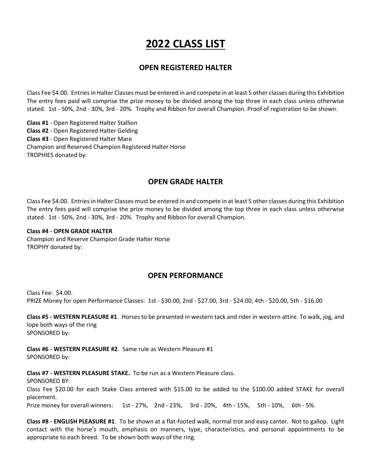# **2022 CLASS LIST**

# **OPEN REGISTERED HALTER**

Class Fee \$4.00. Entries in Halter Classes must be entered in and compete in at least 5 other classes during this Exhibition The entry fees paid will comprise the prize money to be divided among the top three in each class unless otherwise stated. 1st - 50%, 2nd - 30%, 3rd - 20%. Trophy and Ribbon for overall Champion. Proof of registration to be shown.

**Class #1** - Open Registered Halter Stallion **Class #2** - Open Registered Halter Gelding **Class #3** - Open Registered Halter Mare Champion and Reserved Champion Registered Halter Horse TROPHIES donated by:

# **OPEN GRADE HALTER**

Class Fee \$4.00. Entries in Halter Classes must be entered in and compete in at least 5 other classes during this Exhibition The entry fees paid will comprise the prize money to be divided among the top three in each class unless otherwise stated. 1st - 50%, 2nd - 30%, 3rd - 20%. Trophy and Ribbon for overall Champion.

#### **Class #4 - OPEN GRADE HALTER**

Champion and Reserve Champion Grade Halter Horse TROPHY donated by:

# **OPEN PERFORMANCE**

Class Fee: \$4.00. PRIZE Money for open Performance Classes: 1st - \$30.00, 2nd - \$27.00, 3rd - \$24.00, 4th - \$20.00, 5th - \$16.00

**Class #5 - WESTERN PLEASURE #1**. Horses to be presented in western tack and rider in western attire. To walk, jog, and lope both ways of the ring SPONSORED by:

**Class #6 - WESTERN PLEASURE #2**. Same rule as Western Pleasure #1 SPONSORED by:

**Class #7 - WESTERN PLEASURE STAKE.** To be run as a Western Pleasure class. SPONSORED BY: Class Fee \$20.00 for each Stake Class entered with \$15.00 to be added to the \$100.00 added STAKE for overall placement. Prize money for overall winners: 1st - 27%, 2nd - 23%, 3rd - 20%, 4th - 15%, 5th - 10%, 6th - 5%.

**Class #8 - ENGLISH PLEASURE #1**. To be shown at a flat-footed walk, normal trot and easy canter. Not to gallop. Light contact with the horse's mouth, emphasis on manners, type, characteristics, and personal appointments to be appropriate to each breed. To be shown both ways of the ring.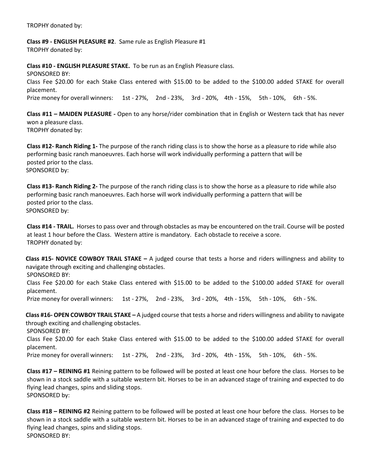TROPHY donated by:

**Class #9 - ENGLISH PLEASURE #2**. Same rule as English Pleasure #1 TROPHY donated by:

**Class #10 - ENGLISH PLEASURE STAKE.** To be run as an English Pleasure class. SPONSORED BY: Class Fee \$20.00 for each Stake Class entered with \$15.00 to be added to the \$100.00 added STAKE for overall placement. Prize money for overall winners: 1st - 27%, 2nd - 23%, 3rd - 20%, 4th - 15%, 5th - 10%, 6th - 5%.

**Class #11 – MAIDEN PLEASURE -** Open to any horse/rider combination that in English or Western tack that has never won a pleasure class. TROPHY donated by:

**Class #12- Ranch Riding 1-** The purpose of the ranch riding class is to show the horse as a pleasure to ride while also performing basic ranch manoeuvres. Each horse will work individually performing a pattern that will be posted prior to the class. SPONSORED by:

**Class #13- Ranch Riding 2-** The purpose of the ranch riding class is to show the horse as a pleasure to ride while also performing basic ranch manoeuvres. Each horse will work individually performing a pattern that will be posted prior to the class. SPONSORED by:

**Class #14 - TRAIL.** Horses to pass over and through obstacles as may be encountered on the trail. Course will be posted at least 1 hour before the Class. Western attire is mandatory. Each obstacle to receive a score. TROPHY donated by:

**Class #15- NOVICE COWBOY TRAIL STAKE –** A judged course that tests a horse and riders willingness and ability to navigate through exciting and challenging obstacles.

SPONSORED BY:

Class Fee \$20.00 for each Stake Class entered with \$15.00 to be added to the \$100.00 added STAKE for overall placement.

Prize money for overall winners: 1st - 27%, 2nd - 23%, 3rd - 20%, 4th - 15%, 5th - 10%, 6th - 5%.

**Class #16- OPEN COWBOY TRAIL STAKE –** A judged course that tests a horse and riders willingness and ability to navigate through exciting and challenging obstacles.

SPONSORED BY:

Class Fee \$20.00 for each Stake Class entered with \$15.00 to be added to the \$100.00 added STAKE for overall placement.

Prize money for overall winners: 1st - 27%, 2nd - 23%, 3rd - 20%, 4th - 15%, 5th - 10%, 6th - 5%.

**Class #17 – REINING #1** Reining pattern to be followed will be posted at least one hour before the class. Horses to be shown in a stock saddle with a suitable western bit. Horses to be in an advanced stage of training and expected to do flying lead changes, spins and sliding stops. SPONSORED by:

**Class #18 – REINING #2** Reining pattern to be followed will be posted at least one hour before the class. Horses to be shown in a stock saddle with a suitable western bit. Horses to be in an advanced stage of training and expected to do flying lead changes, spins and sliding stops. SPONSORED BY: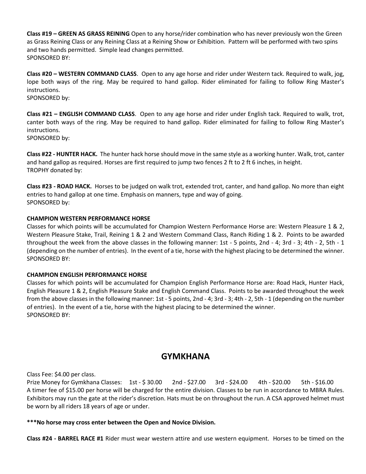**Class #19 – GREEN AS GRASS REINING** Open to any horse/rider combination who has never previously won the Green as Grass Reining Class or any Reining Class at a Reining Show or Exhibition. Pattern will be performed with two spins and two hands permitted. Simple lead changes permitted. SPONSORED BY:

**Class #20 – WESTERN COMMAND CLASS**. Open to any age horse and rider under Western tack. Required to walk, jog, lope both ways of the ring. May be required to hand gallop. Rider eliminated for failing to follow Ring Master's instructions.

SPONSORED by:

**Class #21 – ENGLISH COMMAND CLASS**. Open to any age horse and rider under English tack. Required to walk, trot, canter both ways of the ring. May be required to hand gallop. Rider eliminated for failing to follow Ring Master's instructions.

SPONSORED by:

**Class #22 - HUNTER HACK.** The hunter hack horse should move in the same style as a working hunter. Walk, trot, canter and hand gallop as required. Horses are first required to jump two fences 2 ft to 2 ft 6 inches, in height. TROPHY donated by:

**Class #23 - ROAD HACK.** Horses to be judged on walk trot, extended trot, canter, and hand gallop. No more than eight entries to hand gallop at one time. Emphasis on manners, type and way of going. SPONSORED by:

#### **CHAMPION WESTERN PERFORMANCE HORSE**

Classes for which points will be accumulated for Champion Western Performance Horse are: Western Pleasure 1 & 2, Western Pleasure Stake, Trail, Reining 1 & 2 and Western Command Class, Ranch Riding 1 & 2. Points to be awarded throughout the week from the above classes in the following manner: 1st - 5 points, 2nd - 4; 3rd - 3; 4th - 2, 5th - 1 (depending on the number of entries). In the event of a tie, horse with the highest placing to be determined the winner. SPONSORED BY:

#### **CHAMPION ENGLISH PERFORMANCE HORSE**

Classes for which points will be accumulated for Champion English Performance Horse are: Road Hack, Hunter Hack, English Pleasure 1 & 2, English Pleasure Stake and English Command Class. Points to be awarded throughout the week from the above classes in the following manner: 1st - 5 points, 2nd - 4; 3rd - 3; 4th - 2, 5th - 1 (depending on the number of entries). In the event of a tie, horse with the highest placing to be determined the winner. SPONSORED BY:

# **GYMKHANA**

Class Fee: \$4.00 per class.

Prize Money for Gymkhana Classes: 1st - \$ 30.00 2nd - \$27.00 3rd - \$24.00 4th - \$20.00 5th - \$16.00 A timer fee of \$15.00 per horse will be charged for the entire division. Classes to be run in accordance to MBRA Rules. Exhibitors may run the gate at the rider's discretion. Hats must be on throughout the run. A CSA approved helmet must be worn by all riders 18 years of age or under.

#### **\*\*\*No horse may cross enter between the Open and Novice Division.**

**Class #24 - BARREL RACE #1** Rider must wear western attire and use western equipment. Horses to be timed on the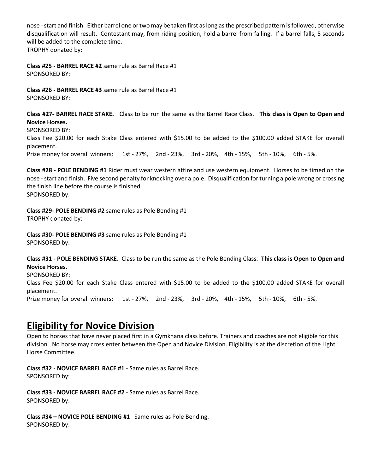nose -start and finish. Either barrel one or two may be taken first as long as the prescribed pattern is followed, otherwise disqualification will result. Contestant may, from riding position, hold a barrel from falling. If a barrel falls, 5 seconds will be added to the complete time. TROPHY donated by:

**Class #25 - BARREL RACE #2** same rule as Barrel Race #1 SPONSORED BY:

**Class #26 - BARREL RACE #3** same rule as Barrel Race #1 SPONSORED BY:

**Class #27- BARREL RACE STAKE.** Class to be run the same as the Barrel Race Class. **This class is Open to Open and Novice Horses.**

SPONSORED BY:

Class Fee \$20.00 for each Stake Class entered with \$15.00 to be added to the \$100.00 added STAKE for overall placement.

Prize money for overall winners: 1st - 27%, 2nd - 23%, 3rd - 20%, 4th - 15%, 5th - 10%, 6th - 5%.

**Class #28 - POLE BENDING #1** Rider must wear western attire and use western equipment. Horses to be timed on the nose -start and finish. Five second penalty for knocking over a pole. Disqualification for turning a pole wrong or crossing the finish line before the course is finished SPONSORED by:

**Class #29- POLE BENDING #2** same rules as Pole Bending #1 TROPHY donated by:

**Class #30- POLE BENDING #3** same rules as Pole Bending #1 SPONSORED by:

**Class #31 - POLE BENDING STAKE**. Class to be run the same as the Pole Bending Class. **This class is Open to Open and Novice Horses.**

SPONSORED BY:

Class Fee \$20.00 for each Stake Class entered with \$15.00 to be added to the \$100.00 added STAKE for overall placement.

Prize money for overall winners: 1st - 27%, 2nd - 23%, 3rd - 20%, 4th - 15%, 5th - 10%, 6th - 5%.

# **Eligibility for Novice Division**

Open to horses that have never placed first in a Gymkhana class before. Trainers and coaches are not eligible for this division. No horse may cross enter between the Open and Novice Division. Eligibility is at the discretion of the Light Horse Committee.

**Class #32 - NOVICE BARREL RACE #1** - Same rules as Barrel Race. SPONSORED by:

**Class #33 - NOVICE BARREL RACE #2** - Same rules as Barrel Race. SPONSORED by:

**Class #34 – NOVICE POLE BENDING #1** Same rules as Pole Bending. SPONSORED by: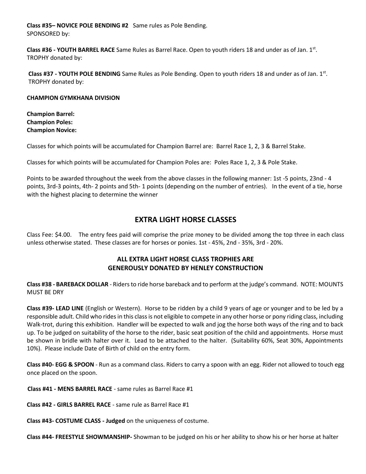**Class #35– NOVICE POLE BENDING #2** Same rules as Pole Bending. SPONSORED by:

**Class #36 - YOUTH BARREL RACE** Same Rules as Barrel Race. Open to youth riders 18 and under as of Jan. 1st . TROPHY donated by:

Class #37 - YOUTH POLE BENDING Same Rules as Pole Bending. Open to youth riders 18 and under as of Jan. 1st. TROPHY donated by:

#### **CHAMPION GYMKHANA DIVISION**

**Champion Barrel: Champion Poles: Champion Novice:**

Classes for which points will be accumulated for Champion Barrel are: Barrel Race 1, 2, 3 & Barrel Stake.

Classes for which points will be accumulated for Champion Poles are: Poles Race 1, 2, 3 & Pole Stake.

Points to be awarded throughout the week from the above classes in the following manner: 1st -5 points, 23nd - 4 points, 3rd-3 points, 4th- 2 points and 5th- 1 points (depending on the number of entries). In the event of a tie, horse with the highest placing to determine the winner

# **EXTRA LIGHT HORSE CLASSES**

Class Fee: \$4.00. The entry fees paid will comprise the prize money to be divided among the top three in each class unless otherwise stated. These classes are for horses or ponies. 1st - 45%, 2nd - 35%, 3rd - 20%.

## **ALL EXTRA LIGHT HORSE CLASS TROPHIES ARE GENEROUSLY DONATED BY HENLEY CONSTRUCTION**

**Class #38 - BAREBACK DOLLAR** - Riders to ride horse bareback and to perform at the judge's command. NOTE: MOUNTS MUST BE DRY

**Class #39- LEAD LINE** (English or Western). Horse to be ridden by a child 9 years of age or younger and to be led by a responsible adult. Child who rides in this class is not eligible to compete in any other horse or pony riding class, including Walk-trot, during this exhibition. Handler will be expected to walk and jog the horse both ways of the ring and to back up. To be judged on suitability of the horse to the rider, basic seat position of the child and appointments. Horse must be shown in bridle with halter over it. Lead to be attached to the halter. (Suitability 60%, Seat 30%, Appointments 10%). Please include Date of Birth of child on the entry form.

**Class #40- EGG & SPOON** - Run as a command class. Riders to carry a spoon with an egg. Rider not allowed to touch egg once placed on the spoon.

**Class #41 - MENS BARREL RACE** - same rules as Barrel Race #1

**Class #42 - GIRLS BARREL RACE** - same rule as Barrel Race #1

**Class #43- COSTUME CLASS - Judged** on the uniqueness of costume.

**Class #44- FREESTYLE SHOWMANSHIP-** Showman to be judged on his or her ability to show his or her horse at halter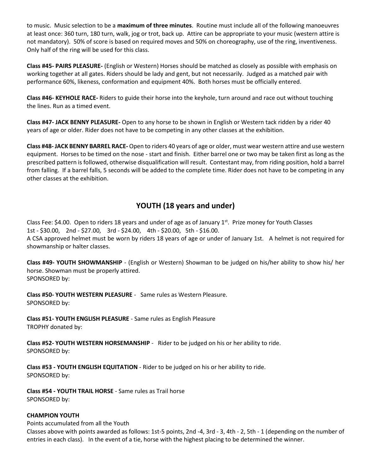to music. Music selection to be a **maximum of three minutes**. Routine must include all of the following manoeuvres at least once: 360 turn, 180 turn, walk, jog or trot, back up. Attire can be appropriate to your music (western attire is not mandatory). 50% of score is based on required moves and 50% on choreography, use of the ring, inventiveness. Only half of the ring will be used for this class.

**Class #45- PAIRS PLEASURE-** (English or Western) Horses should be matched as closely as possible with emphasis on working together at all gates. Riders should be lady and gent, but not necessarily. Judged as a matched pair with performance 60%, likeness, conformation and equipment 40%. Both horses must be officially entered.

**Class #46- KEYHOLE RACE-** Riders to guide their horse into the keyhole, turn around and race out without touching the lines. Run as a timed event.

**Class #47- JACK BENNY PLEASURE-** Open to any horse to be shown in English or Western tack ridden by a rider 40 years of age or older. Rider does not have to be competing in any other classes at the exhibition.

**Class #48- JACK BENNY BARREL RACE-** Open to riders 40 years of age or older, must wear western attire and use western equipment. Horses to be timed on the nose - start and finish. Either barrel one or two may be taken first as long as the prescribed pattern is followed, otherwise disqualification will result. Contestant may, from riding position, hold a barrel from falling. If a barrel falls, 5 seconds will be added to the complete time. Rider does not have to be competing in any other classes at the exhibition.

# **YOUTH (18 years and under)**

Class Fee: \$4.00. Open to riders 18 years and under of age as of January  $1<sup>st</sup>$ . Prize money for Youth Classes 1st - \$30.00, 2nd - \$27.00, 3rd - \$24.00, 4th - \$20.00, 5th - \$16.00. A CSA approved helmet must be worn by riders 18 years of age or under of January 1st. A helmet is not required for showmanship or halter classes.

**Class #49- YOUTH SHOWMANSHIP** - (English or Western) Showman to be judged on his/her ability to show his/ her horse. Showman must be properly attired. SPONSORED by:

**Class #50- YOUTH WESTERN PLEASURE** - Same rules as Western Pleasure. SPONSORED by:

**Class #51- YOUTH ENGLISH PLEASURE** - Same rules as English Pleasure TROPHY donated by:

**Class #52- YOUTH WESTERN HORSEMANSHIP** - Rider to be judged on his or her ability to ride. SPONSORED by:

**Class #53 - YOUTH ENGLISH EQUITATION** - Rider to be judged on his or her ability to ride. SPONSORED by:

**Class #54 - YOUTH TRAIL HORSE** - Same rules as Trail horse SPONSORED by:

## **CHAMPION YOUTH**

Points accumulated from all the Youth

Classes above with points awarded as follows: 1st-5 points, 2nd -4, 3rd - 3, 4th - 2, 5th - 1 (depending on the number of entries in each class). In the event of a tie, horse with the highest placing to be determined the winner.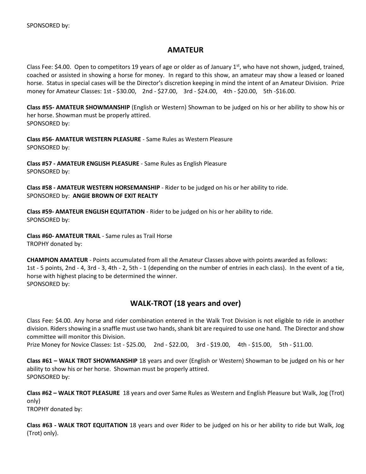# **AMATEUR**

Class Fee: \$4.00. Open to competitors 19 years of age or older as of January 1<sup>st</sup>, who have not shown, judged, trained, coached or assisted in showing a horse for money. In regard to this show, an amateur may show a leased or loaned horse. Status in special cases will be the Director's discretion keeping in mind the intent of an Amateur Division. Prize money for Amateur Classes: 1st - \$30.00, 2nd - \$27.00, 3rd - \$24.00, 4th - \$20.00, 5th -\$16.00.

**Class #55- AMATEUR SHOWMANSHIP** (English or Western) Showman to be judged on his or her ability to show his or her horse. Showman must be properly attired. SPONSORED by:

**Class #56- AMATEUR WESTERN PLEASURE** - Same Rules as Western Pleasure SPONSORED by:

**Class #57 - AMATEUR ENGLISH PLEASURE** - Same Rules as English Pleasure SPONSORED by:

**Class #58 - AMATEUR WESTERN HORSEMANSHIP** - Rider to be judged on his or her ability to ride. SPONSORED by: **ANGIE BROWN OF EXIT REALTY**

**Class #59- AMATEUR ENGLISH EQUITATION** - Rider to be judged on his or her ability to ride. SPONSORED by:

**Class #60- AMATEUR TRAIL** - Same rules as Trail Horse TROPHY donated by:

**CHAMPION AMATEUR** - Points accumulated from all the Amateur Classes above with points awarded as follows: 1st - 5 points, 2nd - 4, 3rd - 3, 4th - 2, 5th - 1 (depending on the number of entries in each class). In the event of a tie, horse with highest placing to be determined the winner. SPONSORED by:

# **WALK-TROT (18 years and over)**

Class Fee: \$4.00. Any horse and rider combination entered in the Walk Trot Division is not eligible to ride in another division. Riders showing in a snaffle must use two hands, shank bit are required to use one hand. The Director and show committee will monitor this Division.

Prize Money for Novice Classes: 1st - \$25.00, 2nd - \$22.00, 3rd - \$19.00, 4th - \$15.00, 5th - \$11.00.

**Class #61 – WALK TROT SHOWMANSHIP** 18 years and over (English or Western) Showman to be judged on his or her ability to show his or her horse. Showman must be properly attired. SPONSORED by:

**Class #62 – WALK TROT PLEASURE** 18 years and over Same Rules as Western and English Pleasure but Walk, Jog (Trot) only)

TROPHY donated by:

**Class #63 - WALK TROT EQUITATION** 18 years and over Rider to be judged on his or her ability to ride but Walk, Jog (Trot) only).